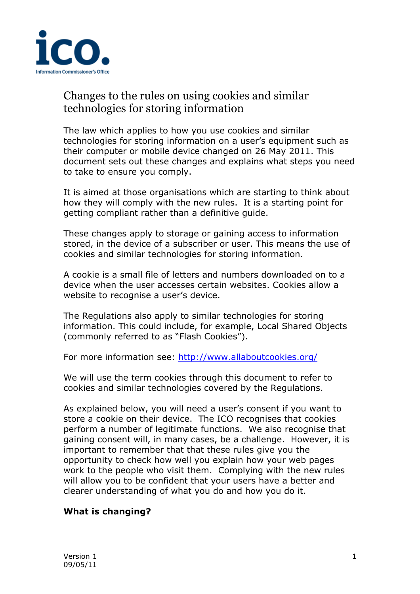

# Changes to the rules on using cookies and similar technologies for storing information

The law which applies to how you use cookies and similar technologies for storing information on a user's equipment such as their computer or mobile device changed on 26 May 2011. This document sets out these changes and explains what steps you need to take to ensure you comply.

It is aimed at those organisations which are starting to think about how they will comply with the new rules. It is a starting point for getting compliant rather than a definitive guide.

These changes apply to storage or gaining access to information stored, in the device of a subscriber or user. This means the use of cookies and similar technologies for storing information.

A cookie is a small file of letters and numbers downloaded on to a device when the user accesses certain websites. Cookies allow a website to recognise a user's device.

The Regulations also apply to similar technologies for storing information. This could include, for example, Local Shared Objects (commonly referred to as "Flash Cookies").

For more information see: <http://www.allaboutcookies.org/>

We will use the term cookies through this document to refer to cookies and similar technologies covered by the Regulations.

As explained below, you will need a user's consent if you want to store a cookie on their device. The ICO recognises that cookies perform a number of legitimate functions. We also recognise that gaining consent will, in many cases, be a challenge. However, it is important to remember that that these rules give you the opportunity to check how well you explain how your web pages work to the people who visit them. Complying with the new rules will allow you to be confident that your users have a better and clearer understanding of what you do and how you do it.

# **What is changing?**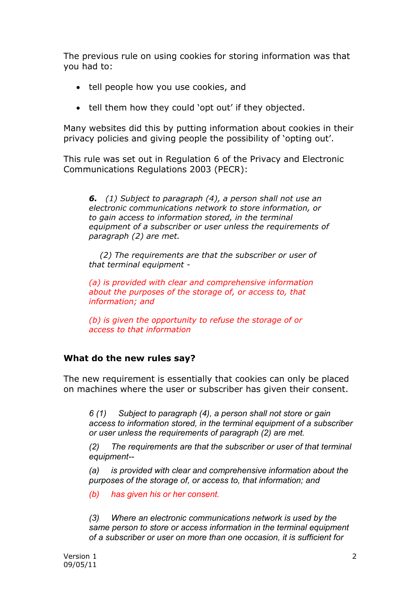The previous rule on using cookies for storing information was that you had to:

- tell people how you use cookies, and
- tell them how they could 'opt out' if they objected.

Many websites did this by putting information about cookies in their privacy policies and giving people the possibility of 'opting out'.

This rule was set out in Regulation 6 of the Privacy and Electronic Communications Regulations 2003 (PECR):

*6. (1) Subject to paragraph (4), a person shall not use an electronic communications network to store information, or to gain access to information stored, in the terminal equipment of a subscriber or user unless the requirements of paragraph (2) are met.* 

 *(2) The requirements are that the subscriber or user of that terminal equipment -* 

*(a) is provided with clear and comprehensive information about the purposes of the storage of, or access to, that information; and* 

*(b) is given the opportunity to refuse the storage of or access to that information* 

# **What do the new rules say?**

The new requirement is essentially that cookies can only be placed on machines where the user or subscriber has given their consent.

*6 (1) Subject to paragraph (4), a person shall not store or gain access to information stored, in the terminal equipment of a subscriber or user unless the requirements of paragraph (2) are met.* 

*(2) The requirements are that the subscriber or user of that terminal equipment--* 

*(a) is provided with clear and comprehensive information about the purposes of the storage of, or access to, that information; and* 

*(b) has given his or her consent.* 

*(3) Where an electronic communications network is used by the same person to store or access information in the terminal equipment of a subscriber or user on more than one occasion, it is sufficient for*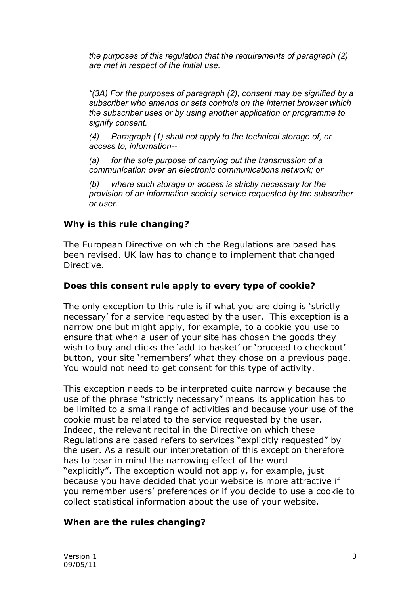*the purposes of this regulation that the requirements of paragraph (2) are met in respect of the initial use.* 

*"(3A) For the purposes of paragraph (2), consent may be signified by a subscriber who amends or sets controls on the internet browser which the subscriber uses or by using another application or programme to signify consent.*

*(4) Paragraph (1) shall not apply to the technical storage of, or access to, information--* 

*(a) for the sole purpose of carrying out the transmission of a communication over an electronic communications network; or* 

*(b) where such storage or access is strictly necessary for the provision of an information society service requested by the subscriber or user.* 

#### **Why is this rule changing?**

The European Directive on which the Regulations are based has been revised. UK law has to change to implement that changed Directive.

#### **Does this consent rule apply to every type of cookie?**

The only exception to this rule is if what you are doing is 'strictly necessary' for a service requested by the user. This exception is a narrow one but might apply, for example, to a cookie you use to ensure that when a user of your site has chosen the goods they wish to buy and clicks the 'add to basket' or 'proceed to checkout' button, your site 'remembers' what they chose on a previous page. You would not need to get consent for this type of activity.

This exception needs to be interpreted quite narrowly because the use of the phrase "strictly necessary" means its application has to be limited to a small range of activities and because your use of the cookie must be related to the service requested by the user. Indeed, the relevant recital in the Directive on which these Regulations are based refers to services "explicitly requested" by the user. As a result our interpretation of this exception therefore has to bear in mind the narrowing effect of the word "explicitly". The exception would not apply, for example, just because you have decided that your website is more attractive if you remember users' preferences or if you decide to use a cookie to collect statistical information about the use of your website.

# **When are the rules changing?**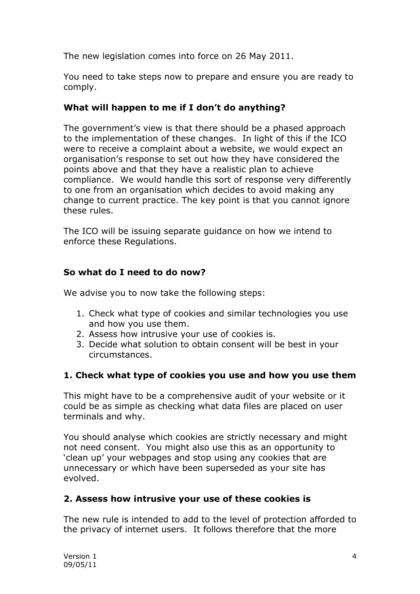The new legislation comes into force on 26 May 2011.

You need to take steps now to prepare and ensure you are ready to comply.

# **What will happen to me if I don't do anything?**

The government's view is that there should be a phased approach to the implementation of these changes. In light of this if the ICO were to receive a complaint about a website, we would expect an organisation's response to set out how they have considered the points above and that they have a realistic plan to achieve compliance. We would handle this sort of response very differently to one from an organisation which decides to avoid making any change to current practice. The key point is that you cannot ignore these rules.

The ICO will be issuing separate guidance on how we intend to enforce these Regulations.

# **So what do I need to do now?**

We advise you to now take the following steps:

- 1. Check what type of cookies and similar technologies you use and how you use them.
- 2. Assess how intrusive your use of cookies is.
- 3. Decide what solution to obtain consent will be best in your circumstances.

# **1. Check what type of cookies you use and how you use them**

This might have to be a comprehensive audit of your website or it could be as simple as checking what data files are placed on user terminals and why.

You should analyse which cookies are strictly necessary and might not need consent. You might also use this as an opportunity to 'clean up' your webpages and stop using any cookies that are unnecessary or which have been superseded as your site has evolved.

# **2. Assess how intrusive your use of these cookies is**

The new rule is intended to add to the level of protection afforded to the privacy of internet users. It follows therefore that the more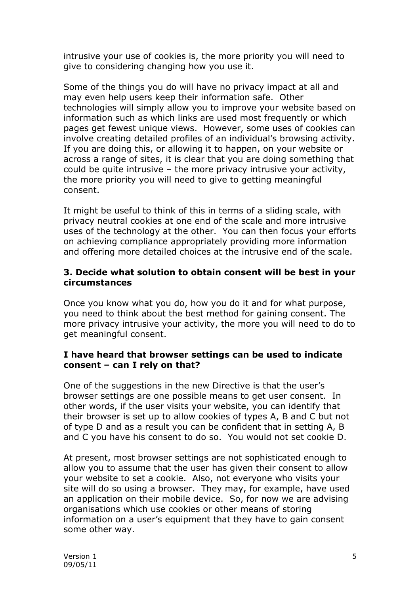intrusive your use of cookies is, the more priority you will need to give to considering changing how you use it.

Some of the things you do will have no privacy impact at all and may even help users keep their information safe. Other technologies will simply allow you to improve your website based on information such as which links are used most frequently or which pages get fewest unique views. However, some uses of cookies can involve creating detailed profiles of an individual's browsing activity. If you are doing this, or allowing it to happen, on your website or across a range of sites, it is clear that you are doing something that could be quite intrusive – the more privacy intrusive your activity, the more priority you will need to give to getting meaningful consent.

It might be useful to think of this in terms of a sliding scale, with privacy neutral cookies at one end of the scale and more intrusive uses of the technology at the other. You can then focus your efforts on achieving compliance appropriately providing more information and offering more detailed choices at the intrusive end of the scale.

#### **3. Decide what solution to obtain consent will be best in your circumstances**

Once you know what you do, how you do it and for what purpose, you need to think about the best method for gaining consent. The more privacy intrusive your activity, the more you will need to do to get meaningful consent.

#### **I have heard that browser settings can be used to indicate consent – can I rely on that?**

One of the suggestions in the new Directive is that the user's browser settings are one possible means to get user consent. In other words, if the user visits your website, you can identify that their browser is set up to allow cookies of types A, B and C but not of type D and as a result you can be confident that in setting A, B and C you have his consent to do so. You would not set cookie D.

At present, most browser settings are not sophisticated enough to allow you to assume that the user has given their consent to allow your website to set a cookie. Also, not everyone who visits your site will do so using a browser. They may, for example, have used an application on their mobile device. So, for now we are advising organisations which use cookies or other means of storing information on a user's equipment that they have to gain consent some other way.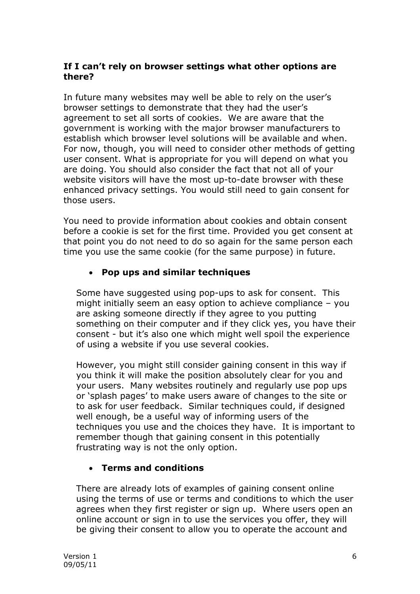#### **If I can't rely on browser settings what other options are there?**

In future many websites may well be able to rely on the user's browser settings to demonstrate that they had the user's agreement to set all sorts of cookies. We are aware that the government is working with the major browser manufacturers to establish which browser level solutions will be available and when. For now, though, you will need to consider other methods of getting user consent. What is appropriate for you will depend on what you are doing. You should also consider the fact that not all of your website visitors will have the most up-to-date browser with these enhanced privacy settings. You would still need to gain consent for those users.

You need to provide information about cookies and obtain consent before a cookie is set for the first time. Provided you get consent at that point you do not need to do so again for the same person each time you use the same cookie (for the same purpose) in future.

# **Pop ups and similar techniques**

Some have suggested using pop-ups to ask for consent. This might initially seem an easy option to achieve compliance – you are asking someone directly if they agree to you putting something on their computer and if they click yes, you have their consent - but it's also one which might well spoil the experience of using a website if you use several cookies.

However, you might still consider gaining consent in this way if you think it will make the position absolutely clear for you and your users. Many websites routinely and regularly use pop ups or 'splash pages' to make users aware of changes to the site or to ask for user feedback. Similar techniques could, if designed well enough, be a useful way of informing users of the techniques you use and the choices they have. It is important to remember though that gaining consent in this potentially frustrating way is not the only option.

# **Terms and conditions**

There are already lots of examples of gaining consent online using the terms of use or terms and conditions to which the user agrees when they first register or sign up. Where users open an online account or sign in to use the services you offer, they will be giving their consent to allow you to operate the account and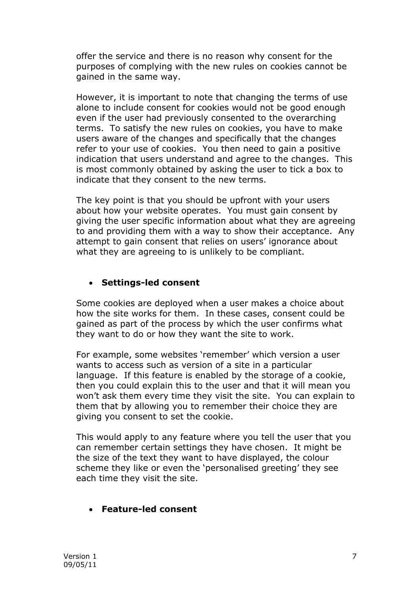offer the service and there is no reason why consent for the purposes of complying with the new rules on cookies cannot be gained in the same way.

However, it is important to note that changing the terms of use alone to include consent for cookies would not be good enough even if the user had previously consented to the overarching terms. To satisfy the new rules on cookies, you have to make users aware of the changes and specifically that the changes refer to your use of cookies. You then need to gain a positive indication that users understand and agree to the changes. This is most commonly obtained by asking the user to tick a box to indicate that they consent to the new terms.

The key point is that you should be upfront with your users about how your website operates. You must gain consent by giving the user specific information about what they are agreeing to and providing them with a way to show their acceptance. Any attempt to gain consent that relies on users' ignorance about what they are agreeing to is unlikely to be compliant.

# **Settings-led consent**

Some cookies are deployed when a user makes a choice about how the site works for them. In these cases, consent could be gained as part of the process by which the user confirms what they want to do or how they want the site to work.

For example, some websites 'remember' which version a user wants to access such as version of a site in a particular language. If this feature is enabled by the storage of a cookie, then you could explain this to the user and that it will mean you won't ask them every time they visit the site. You can explain to them that by allowing you to remember their choice they are giving you consent to set the cookie.

This would apply to any feature where you tell the user that you can remember certain settings they have chosen. It might be the size of the text they want to have displayed, the colour scheme they like or even the 'personalised greeting' they see each time they visit the site.

# **Feature-led consent**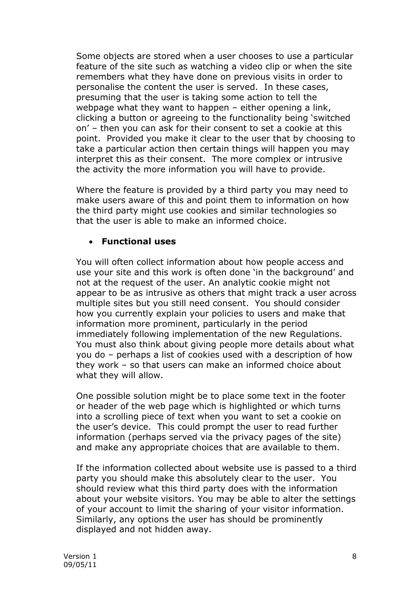Some objects are stored when a user chooses to use a particular feature of the site such as watching a video clip or when the site remembers what they have done on previous visits in order to personalise the content the user is served. In these cases, presuming that the user is taking some action to tell the webpage what they want to happen – either opening a link, clicking a button or agreeing to the functionality being 'switched on' – then you can ask for their consent to set a cookie at this point. Provided you make it clear to the user that by choosing to take a particular action then certain things will happen you may interpret this as their consent. The more complex or intrusive the activity the more information you will have to provide.

Where the feature is provided by a third party you may need to make users aware of this and point them to information on how the third party might use cookies and similar technologies so that the user is able to make an informed choice.

# **Functional uses**

You will often collect information about how people access and use your site and this work is often done 'in the background' and not at the request of the user. An analytic cookie might not appear to be as intrusive as others that might track a user across multiple sites but you still need consent. You should consider how you currently explain your policies to users and make that information more prominent, particularly in the period immediately following implementation of the new Regulations. You must also think about giving people more details about what you do – perhaps a list of cookies used with a description of how they work – so that users can make an informed choice about what they will allow.

One possible solution might be to place some text in the footer or header of the web page which is highlighted or which turns into a scrolling piece of text when you want to set a cookie on the user's device. This could prompt the user to read further information (perhaps served via the privacy pages of the site) and make any appropriate choices that are available to them.

If the information collected about website use is passed to a third party you should make this absolutely clear to the user. You should review what this third party does with the information about your website visitors. You may be able to alter the settings of your account to limit the sharing of your visitor information. Similarly, any options the user has should be prominently displayed and not hidden away.